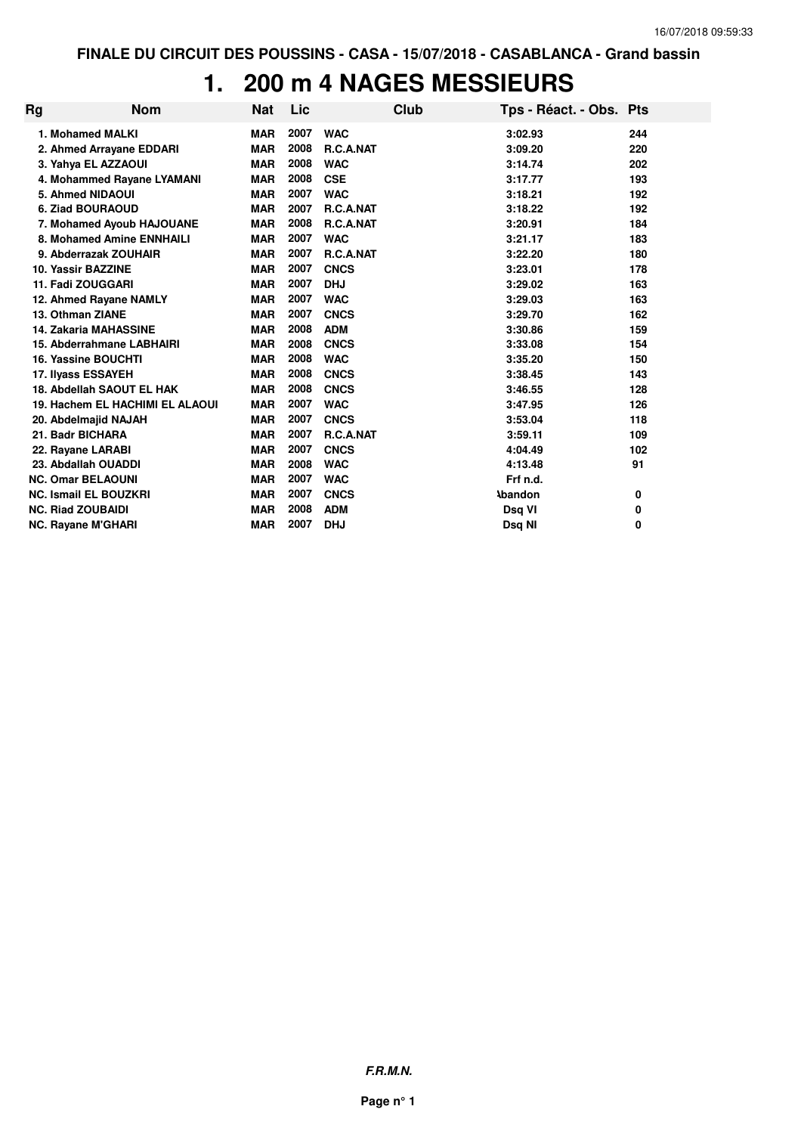### **1. 200 m 4 NAGES MESSIEURS**

| Rg | <b>Nom</b>                      | <b>Nat</b> | Lic  |             | Club | Tps - Réact. - Obs. Pts |     |
|----|---------------------------------|------------|------|-------------|------|-------------------------|-----|
|    | 1. Mohamed MALKI                | <b>MAR</b> | 2007 | <b>WAC</b>  |      | 3:02.93                 | 244 |
|    | 2. Ahmed Arrayane EDDARI        | <b>MAR</b> | 2008 | R.C.A.NAT   |      | 3:09.20                 | 220 |
|    | 3. Yahya EL AZZAOUI             | <b>MAR</b> | 2008 | <b>WAC</b>  |      | 3:14.74                 | 202 |
|    | 4. Mohammed Rayane LYAMANI      | <b>MAR</b> | 2008 | <b>CSE</b>  |      | 3:17.77                 | 193 |
|    | 5. Ahmed NIDAOUI                | <b>MAR</b> | 2007 | <b>WAC</b>  |      | 3:18.21                 | 192 |
|    | 6. Ziad BOURAOUD                | <b>MAR</b> | 2007 | R.C.A.NAT   |      | 3:18.22                 | 192 |
|    | 7. Mohamed Ayoub HAJOUANE       | <b>MAR</b> | 2008 | R.C.A.NAT   |      | 3:20.91                 | 184 |
|    | 8. Mohamed Amine ENNHAILI       | <b>MAR</b> | 2007 | <b>WAC</b>  |      | 3:21.17                 | 183 |
|    | 9. Abderrazak ZOUHAIR           | <b>MAR</b> | 2007 | R.C.A.NAT   |      | 3:22.20                 | 180 |
|    | 10. Yassir BAZZINE              | <b>MAR</b> | 2007 | <b>CNCS</b> |      | 3:23.01                 | 178 |
|    | 11. Fadi ZOUGGARI               | <b>MAR</b> | 2007 | <b>DHJ</b>  |      | 3:29.02                 | 163 |
|    | 12. Ahmed Rayane NAMLY          | <b>MAR</b> | 2007 | <b>WAC</b>  |      | 3:29.03                 | 163 |
|    | 13. Othman ZIANE                | <b>MAR</b> | 2007 | <b>CNCS</b> |      | 3:29.70                 | 162 |
|    | <b>14. Zakaria MAHASSINE</b>    | <b>MAR</b> | 2008 | <b>ADM</b>  |      | 3:30.86                 | 159 |
|    | 15. Abderrahmane LABHAIRI       | <b>MAR</b> | 2008 | <b>CNCS</b> |      | 3:33.08                 | 154 |
|    | 16. Yassine BOUCHTI             | <b>MAR</b> | 2008 | <b>WAC</b>  |      | 3:35.20                 | 150 |
|    | 17. Ilyass ESSAYEH              | <b>MAR</b> | 2008 | <b>CNCS</b> |      | 3:38.45                 | 143 |
|    | 18. Abdellah SAOUT EL HAK       | <b>MAR</b> | 2008 | <b>CNCS</b> |      | 3:46.55                 | 128 |
|    | 19. Hachem EL HACHIMI EL ALAOUI | <b>MAR</b> | 2007 | <b>WAC</b>  |      | 3:47.95                 | 126 |
|    | 20. Abdelmajid NAJAH            | <b>MAR</b> | 2007 | <b>CNCS</b> |      | 3:53.04                 | 118 |
|    | 21. Badr BICHARA                | <b>MAR</b> | 2007 | R.C.A.NAT   |      | 3:59.11                 | 109 |
|    | 22. Rayane LARABI               | <b>MAR</b> | 2007 | <b>CNCS</b> |      | 4:04.49                 | 102 |
|    | 23. Abdallah OUADDI             | <b>MAR</b> | 2008 | <b>WAC</b>  |      | 4:13.48                 | 91  |
|    | <b>NC. Omar BELAOUNI</b>        | <b>MAR</b> | 2007 | <b>WAC</b>  |      | Frf n.d.                |     |
|    | <b>NC. Ismail EL BOUZKRI</b>    | <b>MAR</b> | 2007 | <b>CNCS</b> |      | <b>Abandon</b>          | 0   |
|    | <b>NC. Riad ZOUBAIDI</b>        | <b>MAR</b> | 2008 | <b>ADM</b>  |      | Dsq VI                  | 0   |
|    | <b>NC. Rayane M'GHARI</b>       | <b>MAR</b> | 2007 | <b>DHJ</b>  |      | Dsg NI                  | 0   |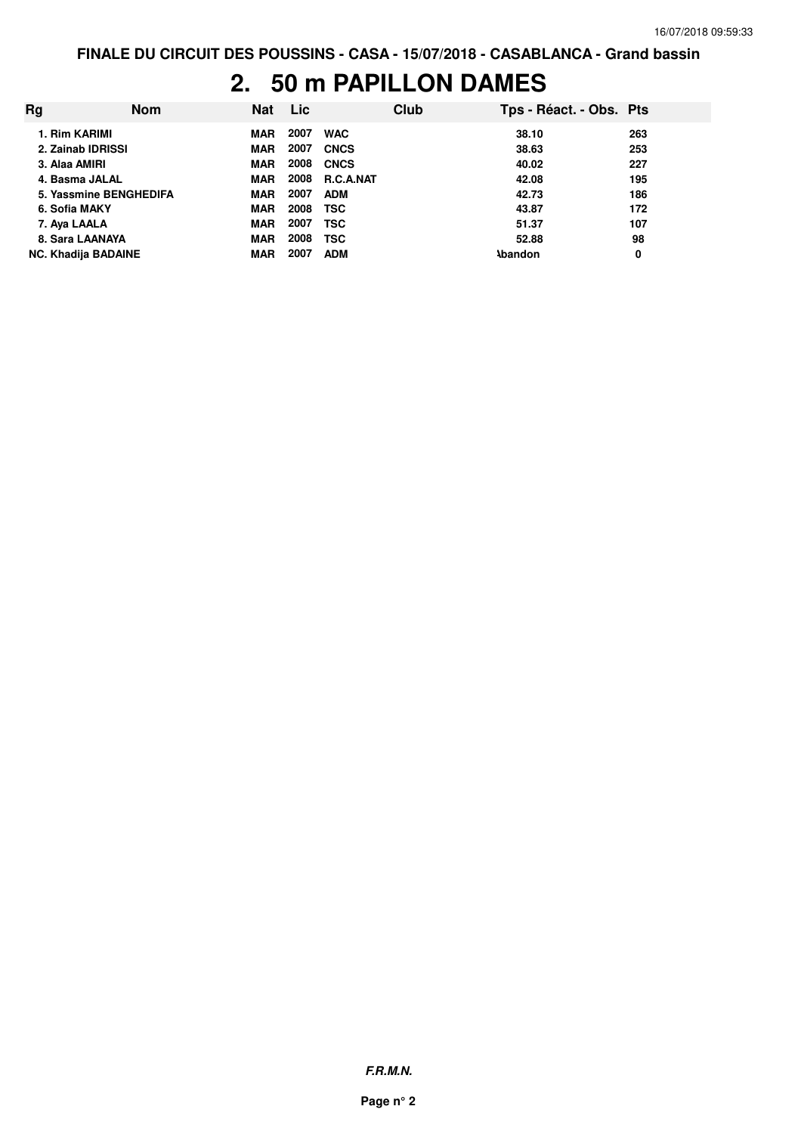#### **2. 50 m PAPILLON DAMES**

| Rq                         | <b>Nom</b> | Nat        | <b>Lic</b> |             | Club | Tps - Réact. - Obs. Pts |     |
|----------------------------|------------|------------|------------|-------------|------|-------------------------|-----|
| 1. Rim KARIMI              |            | <b>MAR</b> | 2007       | <b>WAC</b>  |      | 38.10                   | 263 |
| 2. Zainab IDRISSI          |            | <b>MAR</b> | 2007       | <b>CNCS</b> |      | 38.63                   | 253 |
| 3. Alaa AMIRI              |            | <b>MAR</b> | 2008       | <b>CNCS</b> |      | 40.02                   | 227 |
| 4. Basma JALAL             |            | <b>MAR</b> | 2008       | R.C.A.NAT   |      | 42.08                   | 195 |
| 5. Yassmine BENGHEDIFA     |            | <b>MAR</b> | 2007       | <b>ADM</b>  |      | 42.73                   | 186 |
| 6. Sofia MAKY              |            | <b>MAR</b> | 2008       | <b>TSC</b>  |      | 43.87                   | 172 |
| 7. Aya LAALA               |            | <b>MAR</b> | 2007       | TSC         |      | 51.37                   | 107 |
| 8. Sara LAANAYA            |            | <b>MAR</b> | 2008       | <b>TSC</b>  |      | 52.88                   | 98  |
| <b>NC. Khadija BADAINE</b> |            | <b>MAR</b> | 2007       | <b>ADM</b>  |      | <b>Abandon</b>          | 0   |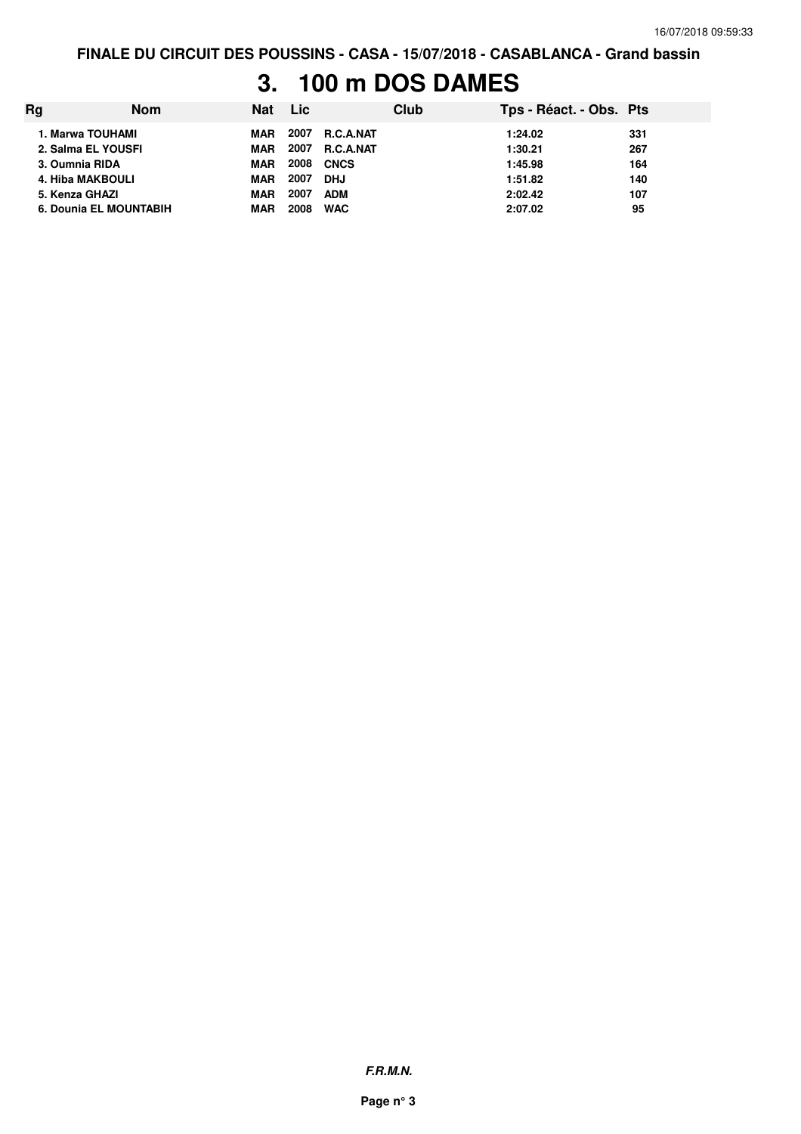# **3. 100 m DOS DAMES**

| Rg | <b>Nom</b>             | <b>Nat</b> | Lic  |                  | Club | Tps - Réact. - Obs. Pts |     |
|----|------------------------|------------|------|------------------|------|-------------------------|-----|
|    | 1. Marwa TOUHAMI       | MAR        | 2007 | <b>R.C.A.NAT</b> |      | 1:24.02                 | 331 |
|    | 2. Salma EL YOUSFI     | <b>MAR</b> | 2007 | <b>R.C.A.NAT</b> |      | 1:30.21                 | 267 |
|    | 3. Oumnia RIDA         | <b>MAR</b> | 2008 | <b>CNCS</b>      |      | 1:45.98                 | 164 |
|    | 4. Hiba MAKBOULI       | <b>MAR</b> | 2007 | <b>DHJ</b>       |      | 1:51.82                 | 140 |
|    | 5. Kenza GHAZI         | <b>MAR</b> | 2007 | <b>ADM</b>       |      | 2:02.42                 | 107 |
|    | 6. Dounia EL MOUNTABIH | <b>MAR</b> | 2008 | <b>WAC</b>       |      | 2:07.02                 | 95  |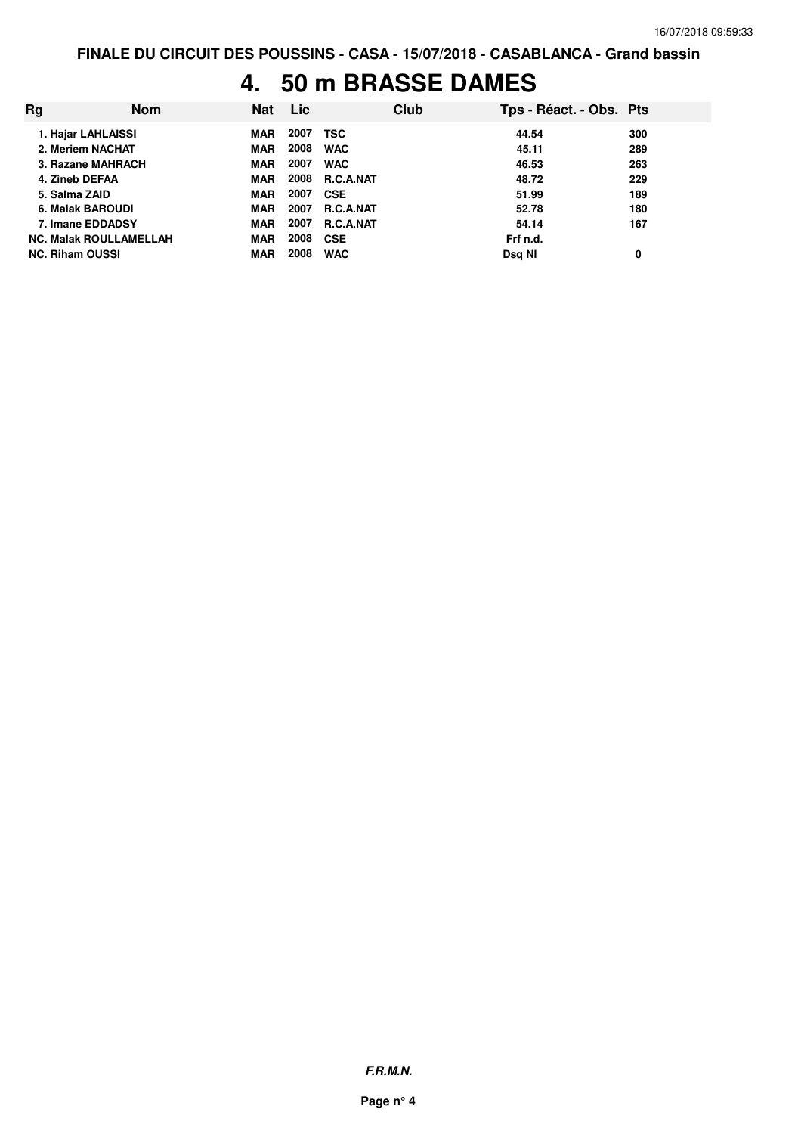#### **4. 50 m BRASSE DAMES**

| Rg                            | <b>Nom</b> | Nat        | <b>Lic</b> |                  | Club | Tps - Réact. - Obs. Pts |     |
|-------------------------------|------------|------------|------------|------------------|------|-------------------------|-----|
| 1. Hajar LAHLAISSI            |            | <b>MAR</b> | 2007       | <b>TSC</b>       |      | 44.54                   | 300 |
| 2. Meriem NACHAT              |            | <b>MAR</b> | 2008       | <b>WAC</b>       |      | 45.11                   | 289 |
| 3. Razane MAHRACH             |            | <b>MAR</b> | 2007       | <b>WAC</b>       |      | 46.53                   | 263 |
| 4. Zineb DEFAA                |            | <b>MAR</b> | 2008       | <b>R.C.A.NAT</b> |      | 48.72                   | 229 |
| 5. Salma ZAID                 |            | <b>MAR</b> | 2007       | <b>CSE</b>       |      | 51.99                   | 189 |
| 6. Malak BAROUDI              |            | <b>MAR</b> | 2007       | <b>R.C.A.NAT</b> |      | 52.78                   | 180 |
| 7. Imane EDDADSY              |            | <b>MAR</b> | 2007       | <b>R.C.A.NAT</b> |      | 54.14                   | 167 |
| <b>NC. Malak ROULLAMELLAH</b> |            | <b>MAR</b> | 2008       | <b>CSE</b>       |      | Frf n.d.                |     |
| <b>NC. Riham OUSSI</b>        |            | <b>MAR</b> | 2008       | <b>WAC</b>       |      | Dsg NI                  | 0   |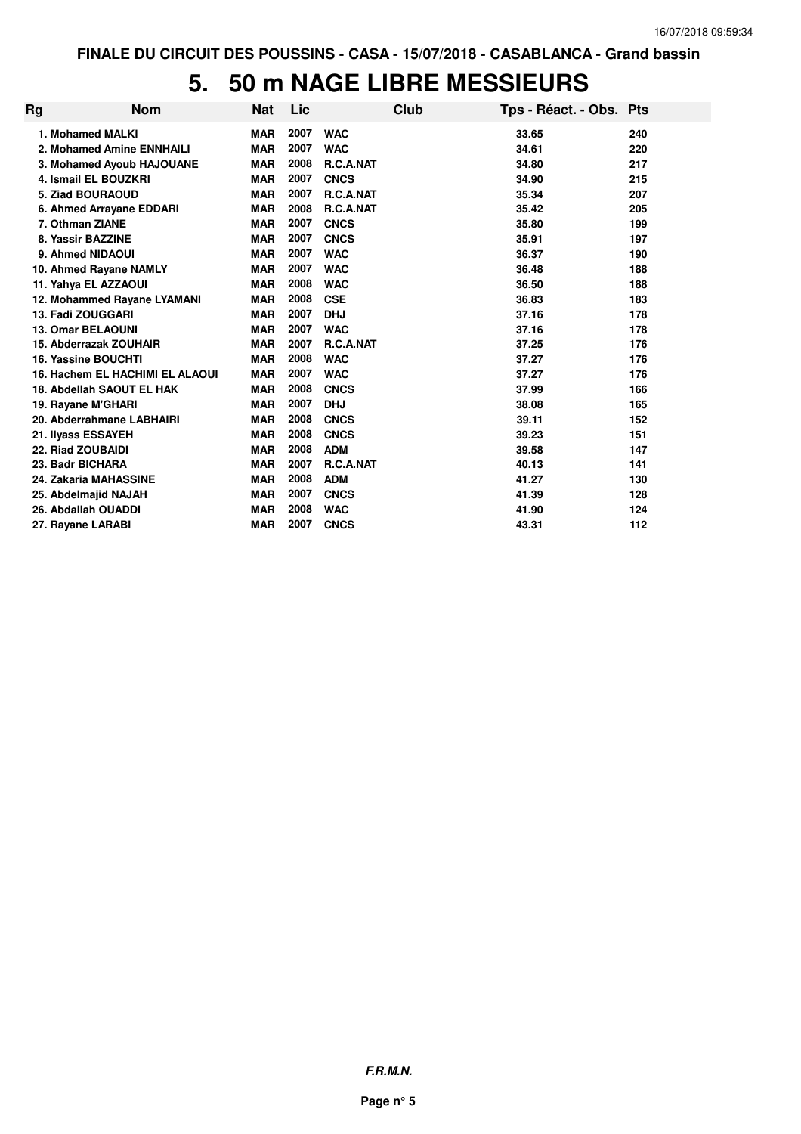### **5. 50 m NAGE LIBRE MESSIEURS**

| Rg | <b>Nom</b>                             | <b>Nat</b> | Lic  |             | Club | Tps - Réact. - Obs. Pts |     |
|----|----------------------------------------|------------|------|-------------|------|-------------------------|-----|
|    | 1. Mohamed MALKI                       | <b>MAR</b> | 2007 | <b>WAC</b>  |      | 33.65                   | 240 |
|    | 2. Mohamed Amine ENNHAILI              | <b>MAR</b> | 2007 | <b>WAC</b>  |      | 34.61                   | 220 |
|    | 3. Mohamed Ayoub HAJOUANE              | <b>MAR</b> | 2008 | R.C.A.NAT   |      | 34.80                   | 217 |
|    | 4. Ismail EL BOUZKRI                   | <b>MAR</b> | 2007 | <b>CNCS</b> |      | 34.90                   | 215 |
|    | 5. Ziad BOURAOUD                       | <b>MAR</b> | 2007 | R.C.A.NAT   |      | 35.34                   | 207 |
|    | 6. Ahmed Arrayane EDDARI               | <b>MAR</b> | 2008 | R.C.A.NAT   |      | 35.42                   | 205 |
|    | 7. Othman ZIANE                        | <b>MAR</b> | 2007 | <b>CNCS</b> |      | 35.80                   | 199 |
|    | 8. Yassir BAZZINE                      | <b>MAR</b> | 2007 | <b>CNCS</b> |      | 35.91                   | 197 |
|    | 9. Ahmed NIDAOUI                       | <b>MAR</b> | 2007 | <b>WAC</b>  |      | 36.37                   | 190 |
|    | 10. Ahmed Rayane NAMLY                 | <b>MAR</b> | 2007 | <b>WAC</b>  |      | 36.48                   | 188 |
|    | 11. Yahya EL AZZAOUI                   | <b>MAR</b> | 2008 | <b>WAC</b>  |      | 36.50                   | 188 |
|    | 12. Mohammed Rayane LYAMANI            | <b>MAR</b> | 2008 | <b>CSE</b>  |      | 36.83                   | 183 |
|    | 13. Fadi ZOUGGARI                      | <b>MAR</b> | 2007 | <b>DHJ</b>  |      | 37.16                   | 178 |
|    | <b>13. Omar BELAOUNI</b>               | <b>MAR</b> | 2007 | <b>WAC</b>  |      | 37.16                   | 178 |
|    | 15. Abderrazak ZOUHAIR                 | <b>MAR</b> | 2007 | R.C.A.NAT   |      | 37.25                   | 176 |
|    | 16. Yassine BOUCHTI                    | <b>MAR</b> | 2008 | <b>WAC</b>  |      | 37.27                   | 176 |
|    | <b>16. Hachem EL HACHIMI EL ALAOUI</b> | <b>MAR</b> | 2007 | <b>WAC</b>  |      | 37.27                   | 176 |
|    | 18. Abdellah SAOUT EL HAK              | <b>MAR</b> | 2008 | <b>CNCS</b> |      | 37.99                   | 166 |
|    | 19. Rayane M'GHARI                     | <b>MAR</b> | 2007 | <b>DHJ</b>  |      | 38.08                   | 165 |
|    | 20. Abderrahmane LABHAIRI              | <b>MAR</b> | 2008 | <b>CNCS</b> |      | 39.11                   | 152 |
|    | 21. Ilyass ESSAYEH                     | <b>MAR</b> | 2008 | <b>CNCS</b> |      | 39.23                   | 151 |
|    | 22. Riad ZOUBAIDI                      | <b>MAR</b> | 2008 | <b>ADM</b>  |      | 39.58                   | 147 |
|    | 23. Badr BICHARA                       | <b>MAR</b> | 2007 | R.C.A.NAT   |      | 40.13                   | 141 |
|    | 24. Zakaria MAHASSINE                  | <b>MAR</b> | 2008 | <b>ADM</b>  |      | 41.27                   | 130 |
|    | 25. Abdelmajid NAJAH                   | <b>MAR</b> | 2007 | <b>CNCS</b> |      | 41.39                   | 128 |
|    | 26. Abdallah OUADDI                    | <b>MAR</b> | 2008 | <b>WAC</b>  |      | 41.90                   | 124 |
|    | 27. Rayane LARABI                      | <b>MAR</b> | 2007 | <b>CNCS</b> |      | 43.31                   | 112 |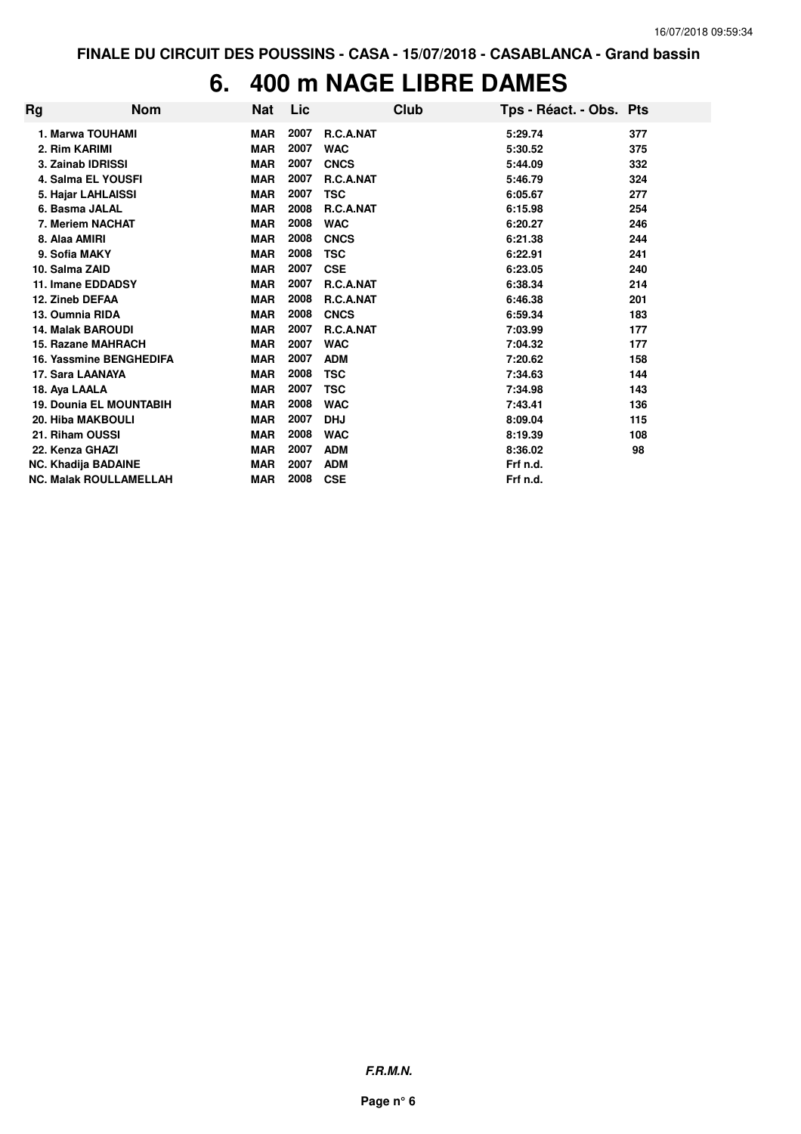### **6. 400 m NAGE LIBRE DAMES**

| Rg | <b>Nom</b>                     | Nat        | Lic  |                  | Club | Tps - Réact. - Obs. Pts |     |
|----|--------------------------------|------------|------|------------------|------|-------------------------|-----|
|    | 1. Marwa TOUHAMI               | <b>MAR</b> | 2007 | <b>R.C.A.NAT</b> |      | 5:29.74                 | 377 |
|    | 2. Rim KARIMI                  | <b>MAR</b> | 2007 | <b>WAC</b>       |      | 5:30.52                 | 375 |
|    | 3. Zainab IDRISSI              | <b>MAR</b> | 2007 | <b>CNCS</b>      |      | 5:44.09                 | 332 |
|    | <b>4. Salma EL YOUSFI</b>      | <b>MAR</b> | 2007 | R.C.A.NAT        |      | 5:46.79                 | 324 |
|    | 5. Hajar LAHLAISSI             | <b>MAR</b> | 2007 | <b>TSC</b>       |      | 6:05.67                 | 277 |
|    | 6. Basma JALAL                 | <b>MAR</b> | 2008 | R.C.A.NAT        |      | 6:15.98                 | 254 |
|    | 7. Meriem NACHAT               | <b>MAR</b> | 2008 | <b>WAC</b>       |      | 6:20.27                 | 246 |
|    | 8. Alaa AMIRI                  | <b>MAR</b> | 2008 | <b>CNCS</b>      |      | 6:21.38                 | 244 |
|    | 9. Sofia MAKY                  | <b>MAR</b> | 2008 | <b>TSC</b>       |      | 6:22.91                 | 241 |
|    | 10. Salma ZAID                 | <b>MAR</b> | 2007 | <b>CSE</b>       |      | 6:23.05                 | 240 |
|    | 11. Imane EDDADSY              | <b>MAR</b> | 2007 | R.C.A.NAT        |      | 6:38.34                 | 214 |
|    | 12. Zineb DEFAA                | <b>MAR</b> | 2008 | R.C.A.NAT        |      | 6:46.38                 | 201 |
|    | 13. Oumnia RIDA                | <b>MAR</b> | 2008 | <b>CNCS</b>      |      | 6:59.34                 | 183 |
|    | <b>14. Malak BAROUDI</b>       | <b>MAR</b> | 2007 | R.C.A.NAT        |      | 7:03.99                 | 177 |
|    | <b>15. Razane MAHRACH</b>      | <b>MAR</b> | 2007 | <b>WAC</b>       |      | 7:04.32                 | 177 |
|    | 16. Yassmine BENGHEDIFA        | <b>MAR</b> | 2007 | <b>ADM</b>       |      | 7:20.62                 | 158 |
|    | 17. Sara LAANAYA               | <b>MAR</b> | 2008 | <b>TSC</b>       |      | 7:34.63                 | 144 |
|    | 18. Aya LAALA                  | <b>MAR</b> | 2007 | <b>TSC</b>       |      | 7:34.98                 | 143 |
|    | <b>19. Dounia EL MOUNTABIH</b> | <b>MAR</b> | 2008 | <b>WAC</b>       |      | 7:43.41                 | 136 |
|    | <b>20. Hiba MAKBOULI</b>       | <b>MAR</b> | 2007 | <b>DHJ</b>       |      | 8:09.04                 | 115 |
|    | 21. Riham OUSSI                | <b>MAR</b> | 2008 | <b>WAC</b>       |      | 8:19.39                 | 108 |
|    | 22. Kenza GHAZI                | <b>MAR</b> | 2007 | <b>ADM</b>       |      | 8:36.02                 | 98  |
|    | <b>NC. Khadija BADAINE</b>     | <b>MAR</b> | 2007 | <b>ADM</b>       |      | Frf n.d.                |     |
|    | <b>NC. Malak ROULLAMELLAH</b>  | <b>MAR</b> | 2008 | <b>CSE</b>       |      | Frf n.d.                |     |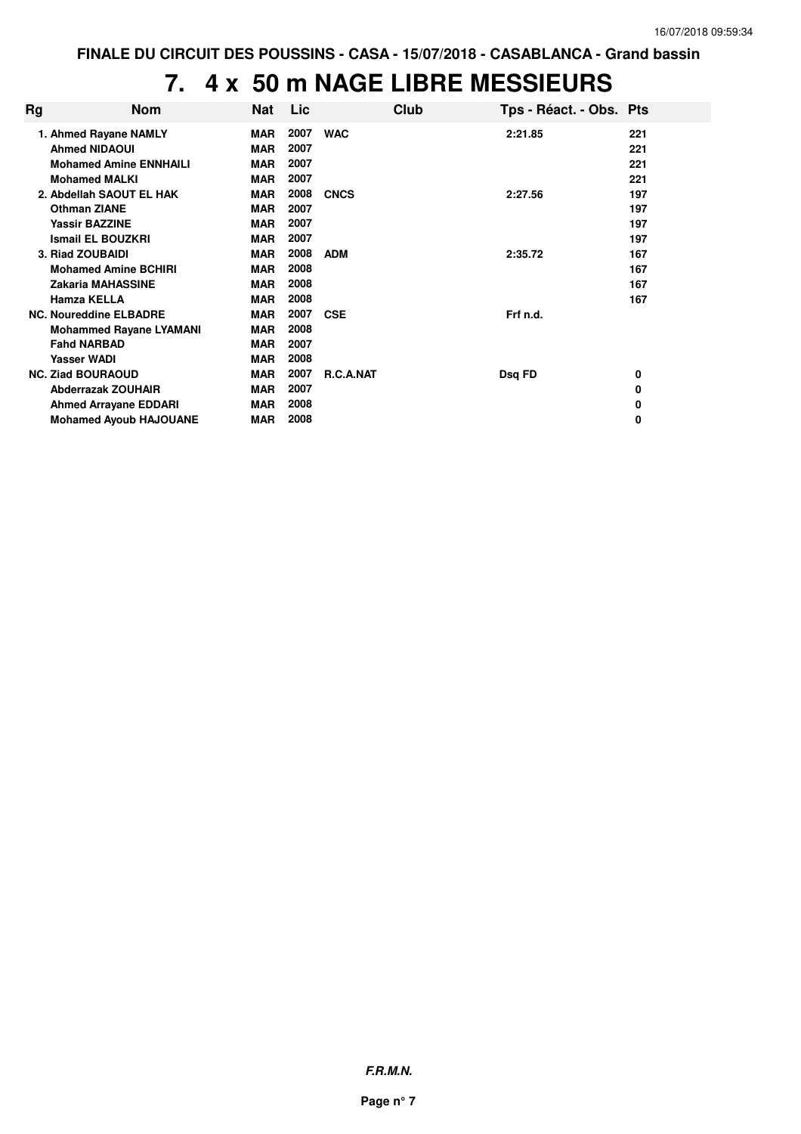### **7. 4 x 50 m NAGE LIBRE MESSIEURS**

| Rg | <b>Nom</b>                     | Nat        | Lic  | Club             | Tps - Réact. - Obs. Pts |     |
|----|--------------------------------|------------|------|------------------|-------------------------|-----|
|    | 1. Ahmed Rayane NAMLY          | MAR        | 2007 | <b>WAC</b>       | 2:21.85                 | 221 |
|    | <b>Ahmed NIDAOUI</b>           | <b>MAR</b> | 2007 |                  |                         | 221 |
|    | <b>Mohamed Amine ENNHAILI</b>  | <b>MAR</b> | 2007 |                  |                         | 221 |
|    | <b>Mohamed MALKI</b>           | <b>MAR</b> | 2007 |                  |                         | 221 |
|    | 2. Abdellah SAOUT EL HAK       | <b>MAR</b> | 2008 | <b>CNCS</b>      | 2:27.56                 | 197 |
|    | <b>Othman ZIANE</b>            | <b>MAR</b> | 2007 |                  |                         | 197 |
|    | <b>Yassir BAZZINE</b>          | <b>MAR</b> | 2007 |                  |                         | 197 |
|    | <b>Ismail EL BOUZKRI</b>       | <b>MAR</b> | 2007 |                  |                         | 197 |
|    | 3. Riad ZOUBAIDI               | <b>MAR</b> | 2008 | <b>ADM</b>       | 2:35.72                 | 167 |
|    | <b>Mohamed Amine BCHIRL</b>    | <b>MAR</b> | 2008 |                  |                         | 167 |
|    | <b>Zakaria MAHASSINE</b>       | <b>MAR</b> | 2008 |                  |                         | 167 |
|    | <b>Hamza KELLA</b>             | <b>MAR</b> | 2008 |                  |                         | 167 |
|    | <b>NC. Noureddine ELBADRE</b>  | <b>MAR</b> | 2007 | <b>CSE</b>       | Frf n.d.                |     |
|    | <b>Mohammed Rayane LYAMANI</b> | <b>MAR</b> | 2008 |                  |                         |     |
|    | <b>Fahd NARBAD</b>             | <b>MAR</b> | 2007 |                  |                         |     |
|    | <b>Yasser WADI</b>             | <b>MAR</b> | 2008 |                  |                         |     |
|    | <b>NC. Ziad BOURAOUD</b>       | <b>MAR</b> | 2007 | <b>R.C.A.NAT</b> | Dsq FD                  | 0   |
|    | <b>Abderrazak ZOUHAIR</b>      | <b>MAR</b> | 2007 |                  |                         | 0   |
|    | <b>Ahmed Arrayane EDDARI</b>   | MAR        | 2008 |                  |                         | 0   |
|    | <b>Mohamed Ayoub HAJOUANE</b>  | <b>MAR</b> | 2008 |                  |                         | 0   |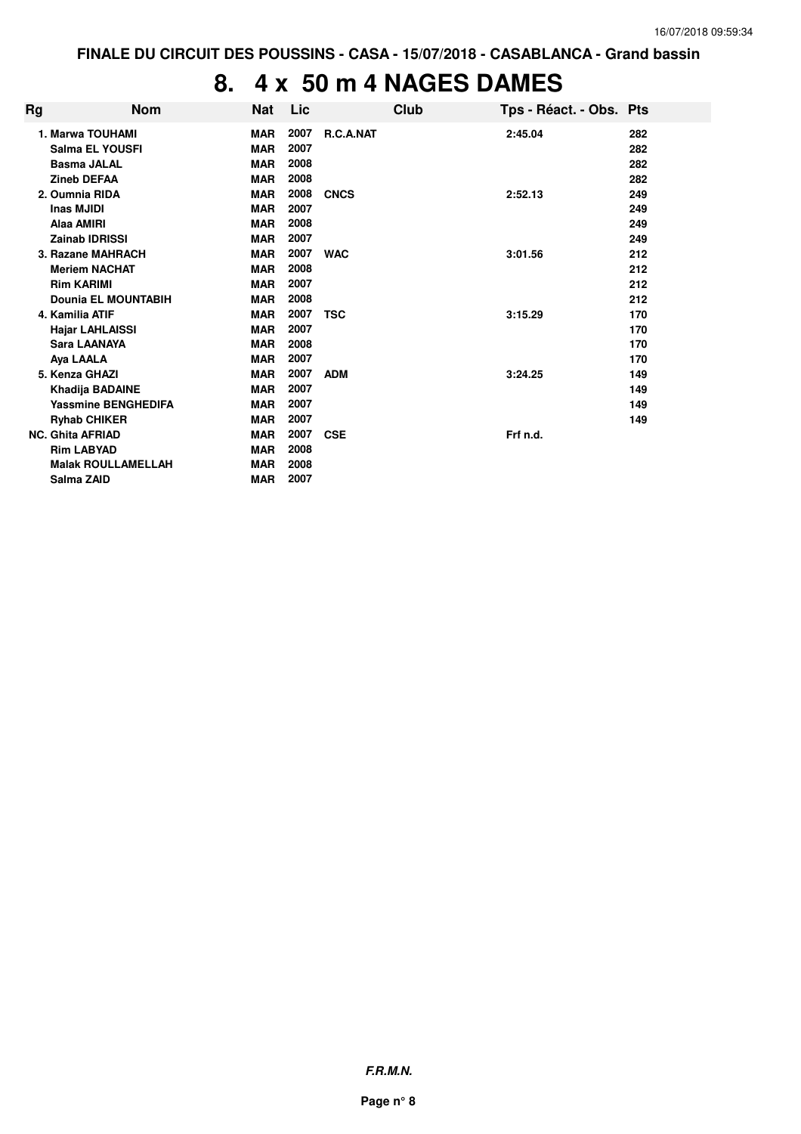## **8. 4 x 50 m 4 NAGES DAMES**

| Rg | <b>Nom</b>                 | <b>Nat</b> | Lic  | Club             | Tps - Réact. - Obs. Pts |     |
|----|----------------------------|------------|------|------------------|-------------------------|-----|
|    | 1. Marwa TOUHAMI           | <b>MAR</b> | 2007 | <b>R.C.A.NAT</b> | 2:45.04                 | 282 |
|    | <b>Salma EL YOUSFI</b>     | <b>MAR</b> | 2007 |                  |                         | 282 |
|    | <b>Basma JALAL</b>         | <b>MAR</b> | 2008 |                  |                         | 282 |
|    | <b>Zineb DEFAA</b>         | <b>MAR</b> | 2008 |                  |                         | 282 |
|    | 2. Oumnia RIDA             | <b>MAR</b> | 2008 | <b>CNCS</b>      | 2:52.13                 | 249 |
|    | Inas MJIDI                 | <b>MAR</b> | 2007 |                  |                         | 249 |
|    | Alaa AMIRI                 | <b>MAR</b> | 2008 |                  |                         | 249 |
|    | <b>Zainab IDRISSI</b>      | <b>MAR</b> | 2007 |                  |                         | 249 |
|    | 3. Razane MAHRACH          | <b>MAR</b> | 2007 | <b>WAC</b>       | 3:01.56                 | 212 |
|    | <b>Meriem NACHAT</b>       | <b>MAR</b> | 2008 |                  |                         | 212 |
|    | <b>Rim KARIMI</b>          | <b>MAR</b> | 2007 |                  |                         | 212 |
|    | <b>Dounia EL MOUNTABIH</b> | <b>MAR</b> | 2008 |                  |                         | 212 |
|    | 4. Kamilia ATIF            | <b>MAR</b> | 2007 | <b>TSC</b>       | 3:15.29                 | 170 |
|    | <b>Hajar LAHLAISSI</b>     | <b>MAR</b> | 2007 |                  |                         | 170 |
|    | <b>Sara LAANAYA</b>        | <b>MAR</b> | 2008 |                  |                         | 170 |
|    | Aya LAALA                  | <b>MAR</b> | 2007 |                  |                         | 170 |
|    | 5. Kenza GHAZI             | <b>MAR</b> | 2007 | <b>ADM</b>       | 3:24.25                 | 149 |
|    | Khadija BADAINE            | <b>MAR</b> | 2007 |                  |                         | 149 |
|    | <b>Yassmine BENGHEDIFA</b> | <b>MAR</b> | 2007 |                  |                         | 149 |
|    | <b>Ryhab CHIKER</b>        | <b>MAR</b> | 2007 |                  |                         | 149 |
|    | <b>NC. Ghita AFRIAD</b>    | <b>MAR</b> | 2007 | <b>CSE</b>       | Frf n.d.                |     |
|    | <b>Rim LABYAD</b>          | <b>MAR</b> | 2008 |                  |                         |     |
|    | <b>Malak ROULLAMELLAH</b>  | <b>MAR</b> | 2008 |                  |                         |     |
|    | Salma ZAID                 | <b>MAR</b> | 2007 |                  |                         |     |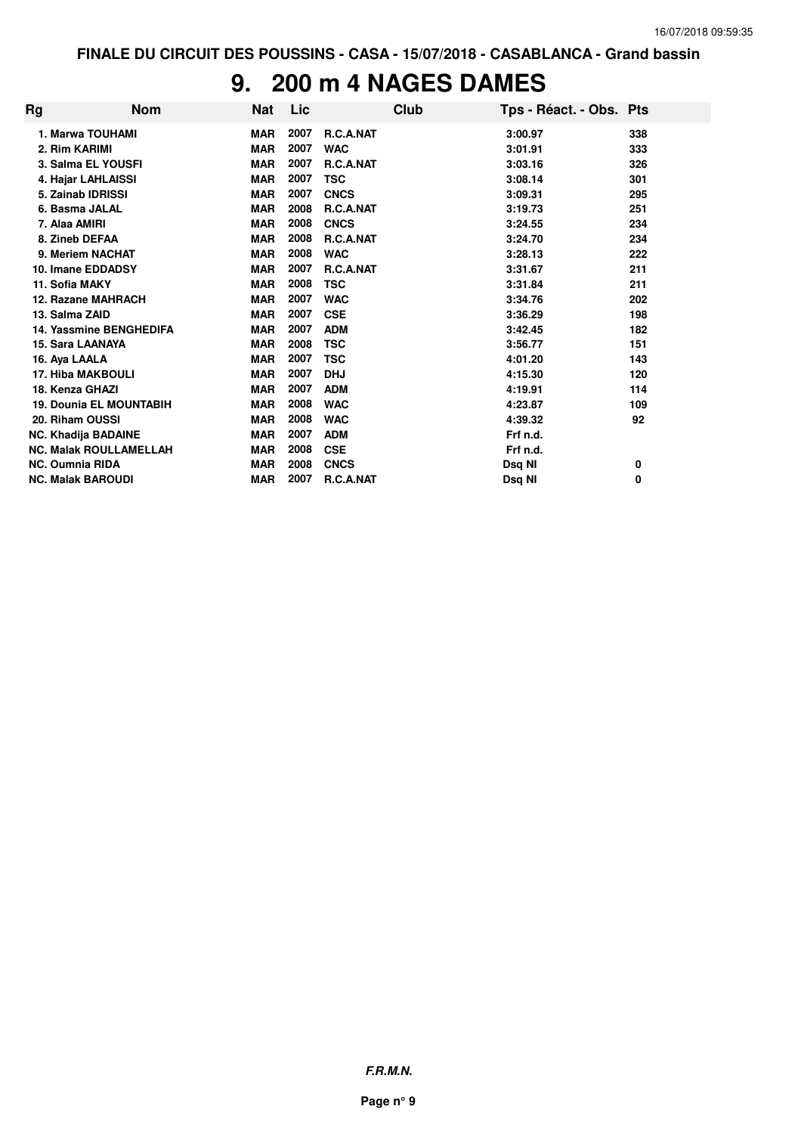### **9. 200 m 4 NAGES DAMES**

| Rg | <b>Nom</b>                     | <b>Nat</b> | Lic  |                  | Club | Tps - Réact. - Obs. Pts |     |
|----|--------------------------------|------------|------|------------------|------|-------------------------|-----|
|    | 1. Marwa TOUHAMI               | <b>MAR</b> | 2007 | <b>R.C.A.NAT</b> |      | 3:00.97                 | 338 |
|    | 2. Rim KARIMI                  | <b>MAR</b> | 2007 | <b>WAC</b>       |      | 3:01.91                 | 333 |
|    | 3. Salma EL YOUSFI             | <b>MAR</b> | 2007 | R.C.A.NAT        |      | 3:03.16                 | 326 |
|    | 4. Hajar LAHLAISSI             | <b>MAR</b> | 2007 | <b>TSC</b>       |      | 3:08.14                 | 301 |
|    | 5. Zainab IDRISSI              | <b>MAR</b> | 2007 | <b>CNCS</b>      |      | 3:09.31                 | 295 |
|    | 6. Basma JALAL                 | <b>MAR</b> | 2008 | R.C.A.NAT        |      | 3:19.73                 | 251 |
|    | 7. Alaa AMIRI                  | <b>MAR</b> | 2008 | <b>CNCS</b>      |      | 3:24.55                 | 234 |
|    | 8. Zineb DEFAA                 | <b>MAR</b> | 2008 | R.C.A.NAT        |      | 3:24.70                 | 234 |
|    | 9. Meriem NACHAT               | <b>MAR</b> | 2008 | <b>WAC</b>       |      | 3:28.13                 | 222 |
|    | 10. Imane EDDADSY              | <b>MAR</b> | 2007 | R.C.A.NAT        |      | 3:31.67                 | 211 |
|    | 11. Sofia MAKY                 | <b>MAR</b> | 2008 | <b>TSC</b>       |      | 3:31.84                 | 211 |
|    | 12. Razane MAHRACH             | <b>MAR</b> | 2007 | <b>WAC</b>       |      | 3:34.76                 | 202 |
|    | 13. Salma ZAID                 | <b>MAR</b> | 2007 | <b>CSE</b>       |      | 3:36.29                 | 198 |
|    | <b>14. Yassmine BENGHEDIFA</b> | <b>MAR</b> | 2007 | <b>ADM</b>       |      | 3:42.45                 | 182 |
|    | 15. Sara LAANAYA               | <b>MAR</b> | 2008 | <b>TSC</b>       |      | 3:56.77                 | 151 |
|    | 16. Aya LAALA                  | <b>MAR</b> | 2007 | <b>TSC</b>       |      | 4:01.20                 | 143 |
|    | <b>17. Hiba MAKBOULI</b>       | <b>MAR</b> | 2007 | <b>DHJ</b>       |      | 4:15.30                 | 120 |
|    | 18. Kenza GHAZI                | <b>MAR</b> | 2007 | <b>ADM</b>       |      | 4:19.91                 | 114 |
|    | <b>19. Dounia EL MOUNTABIH</b> | <b>MAR</b> | 2008 | <b>WAC</b>       |      | 4:23.87                 | 109 |
|    | 20. Riham OUSSI                | <b>MAR</b> | 2008 | <b>WAC</b>       |      | 4:39.32                 | 92  |
|    | <b>NC. Khadija BADAINE</b>     | <b>MAR</b> | 2007 | <b>ADM</b>       |      | Frf n.d.                |     |
|    | <b>NC. Malak ROULLAMELLAH</b>  | <b>MAR</b> | 2008 | <b>CSE</b>       |      | Frf n.d.                |     |
|    | <b>NC. Oumnia RIDA</b>         | <b>MAR</b> | 2008 | <b>CNCS</b>      |      | Dsq NI                  | 0   |
|    | <b>NC. Malak BAROUDI</b>       | <b>MAR</b> | 2007 | <b>R.C.A.NAT</b> |      | Dsq NI                  | 0   |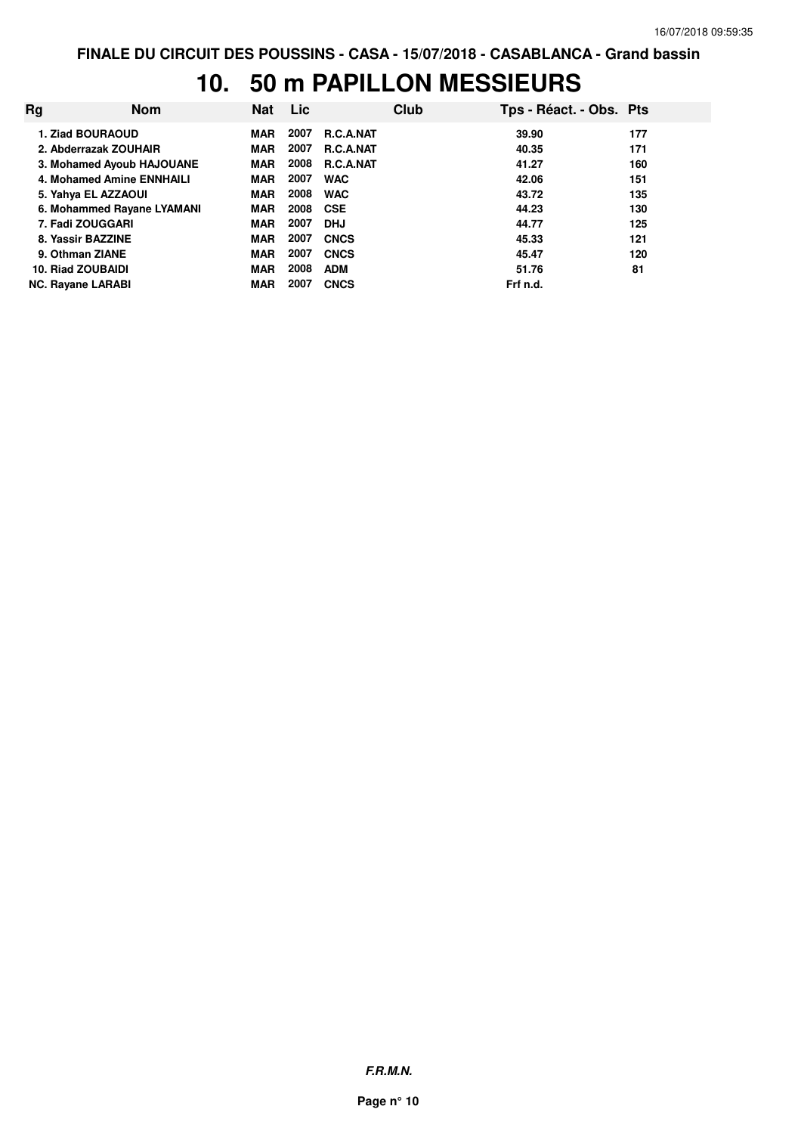## **10. 50 m PAPILLON MESSIEURS**

| Rq                       | <b>Nom</b>                 | Nat        | <b>Lic</b> |                  | Club | Tps - Réact. - Obs. Pts |     |
|--------------------------|----------------------------|------------|------------|------------------|------|-------------------------|-----|
| 1. Ziad BOURAOUD         |                            | <b>MAR</b> | 2007       | <b>R.C.A.NAT</b> |      | 39.90                   | 177 |
| 2. Abderrazak ZOUHAIR    |                            | <b>MAR</b> | 2007       | <b>R.C.A.NAT</b> |      | 40.35                   | 171 |
|                          | 3. Mohamed Ayoub HAJOUANE  | <b>MAR</b> | 2008       | R.C.A.NAT        |      | 41.27                   | 160 |
|                          | 4. Mohamed Amine ENNHAILI  | <b>MAR</b> | 2007       | <b>WAC</b>       |      | 42.06                   | 151 |
| 5. Yahya EL AZZAOUI      |                            | <b>MAR</b> | 2008       | <b>WAC</b>       |      | 43.72                   | 135 |
|                          | 6. Mohammed Rayane LYAMANI | <b>MAR</b> | 2008       | <b>CSE</b>       |      | 44.23                   | 130 |
| 7. Fadi ZOUGGARI         |                            | <b>MAR</b> | 2007       | <b>DHJ</b>       |      | 44.77                   | 125 |
| 8. Yassir BAZZINE        |                            | <b>MAR</b> | 2007       | <b>CNCS</b>      |      | 45.33                   | 121 |
| 9. Othman ZIANE          |                            | <b>MAR</b> | 2007       | <b>CNCS</b>      |      | 45.47                   | 120 |
| 10. Riad ZOUBAIDI        |                            | <b>MAR</b> | 2008       | <b>ADM</b>       |      | 51.76                   | 81  |
| <b>NC. Ravane LARABI</b> |                            | MAR        | 2007       | <b>CNCS</b>      |      | Frf n.d.                |     |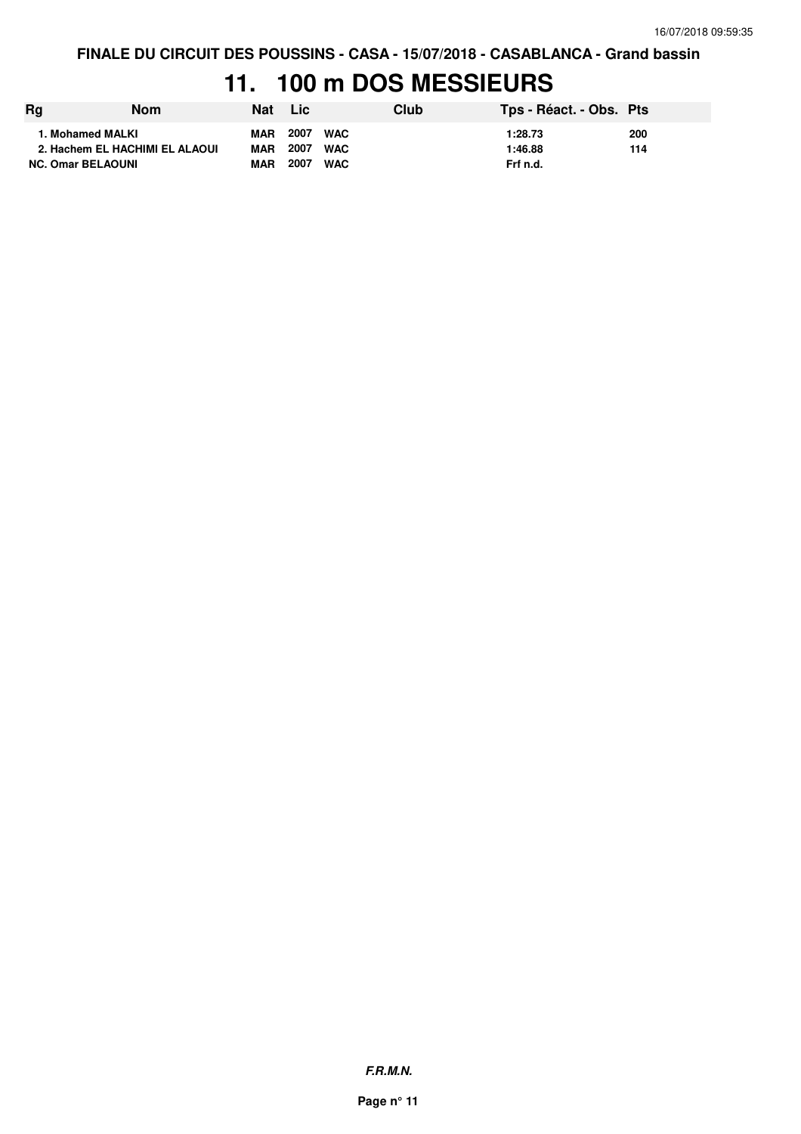### **11. 100 m DOS MESSIEURS**

| Rg                       | Nom                            | Nat        | <b>Lic</b> |            | Club | Tps - Réact. - Obs. Pts |     |
|--------------------------|--------------------------------|------------|------------|------------|------|-------------------------|-----|
| 1. Mohamed MALKI         |                                | <b>MAR</b> | 2007       | <b>WAC</b> |      | 1:28.73                 | 200 |
|                          | 2. Hachem EL HACHIMI EL ALAOUI | <b>MAR</b> | 2007       | <b>WAC</b> |      | 1:46.88                 | 114 |
| <b>NC. Omar BELAOUNI</b> |                                | <b>MAR</b> | 2007       | <b>WAC</b> |      | Frf n.d.                |     |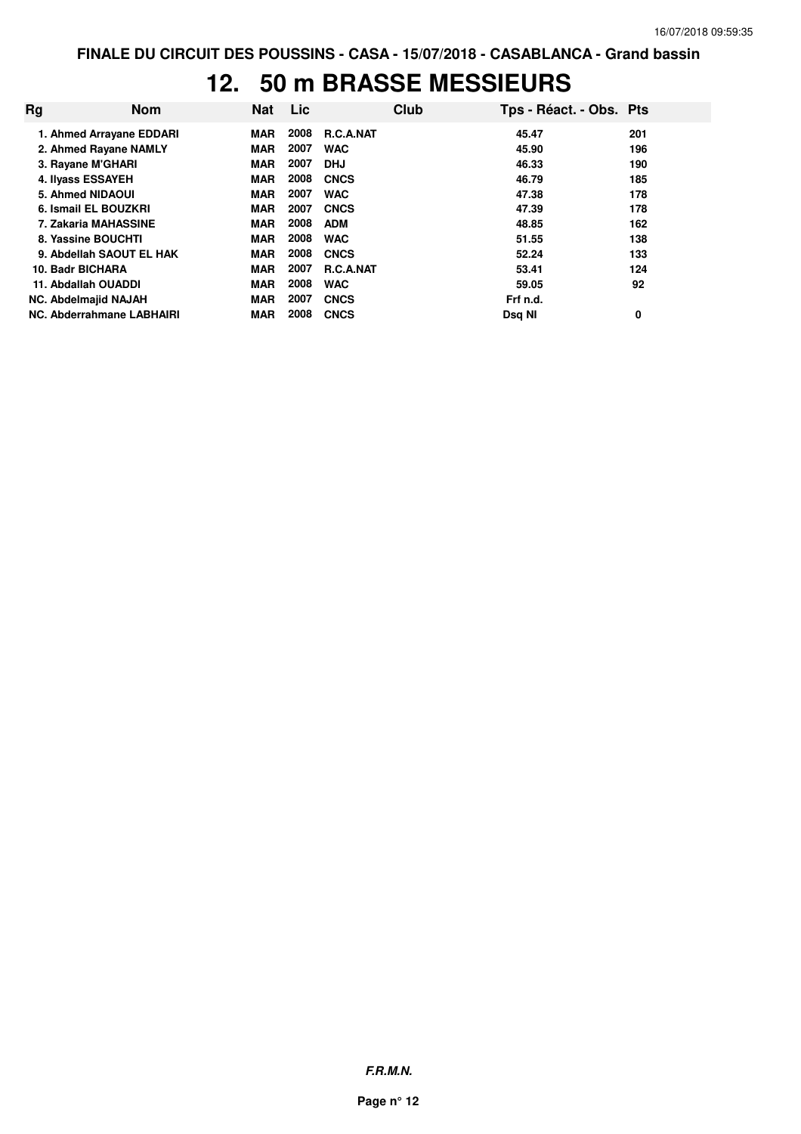### **12. 50 m BRASSE MESSIEURS**

| Rg | <b>Nom</b>                  | <b>Nat</b> | Lic  |                  | Club | Tps - Réact. - Obs. Pts |     |
|----|-----------------------------|------------|------|------------------|------|-------------------------|-----|
|    | 1. Ahmed Arrayane EDDARI    | MAR        | 2008 | <b>R.C.A.NAT</b> |      | 45.47                   | 201 |
|    | 2. Ahmed Rayane NAMLY       | <b>MAR</b> | 2007 | <b>WAC</b>       |      | 45.90                   | 196 |
|    | 3. Rayane M'GHARI           | <b>MAR</b> | 2007 | <b>DHJ</b>       |      | 46.33                   | 190 |
|    | 4. Ilyass ESSAYEH           | <b>MAR</b> | 2008 | <b>CNCS</b>      |      | 46.79                   | 185 |
|    | 5. Ahmed NIDAOUI            | <b>MAR</b> | 2007 | <b>WAC</b>       |      | 47.38                   | 178 |
|    | 6. Ismail EL BOUZKRI        | <b>MAR</b> | 2007 | <b>CNCS</b>      |      | 47.39                   | 178 |
|    | 7. Zakaria MAHASSINE        | <b>MAR</b> | 2008 | <b>ADM</b>       |      | 48.85                   | 162 |
|    | 8. Yassine BOUCHTI          | <b>MAR</b> | 2008 | <b>WAC</b>       |      | 51.55                   | 138 |
|    | 9. Abdellah SAOUT EL HAK    | <b>MAR</b> | 2008 | <b>CNCS</b>      |      | 52.24                   | 133 |
|    | 10. Badr BICHARA            | <b>MAR</b> | 2007 | <b>R.C.A.NAT</b> |      | 53.41                   | 124 |
|    | 11. Abdallah OUADDI         | <b>MAR</b> | 2008 | <b>WAC</b>       |      | 59.05                   | 92  |
|    | <b>NC. Abdelmajid NAJAH</b> | <b>MAR</b> | 2007 | <b>CNCS</b>      |      | Frf n.d.                |     |
|    | NC. Abderrahmane LABHAIRI   | <b>MAR</b> | 2008 | <b>CNCS</b>      |      | Dsg NI                  | 0   |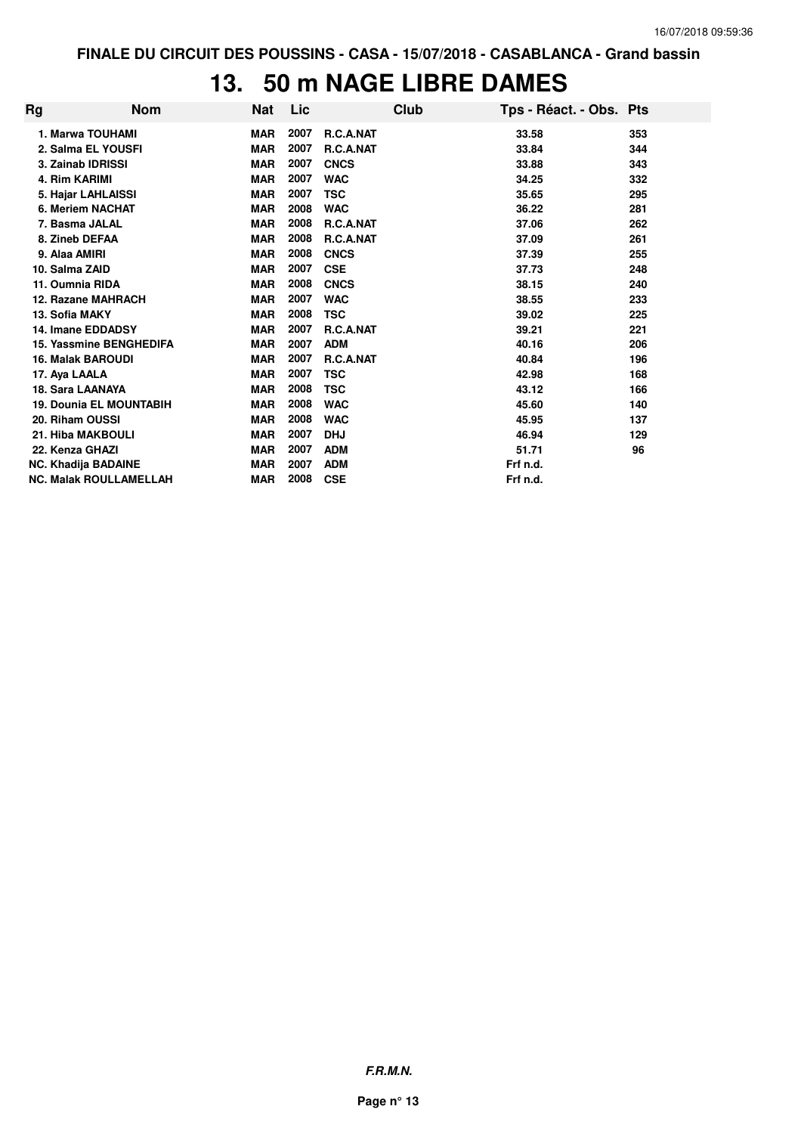## **13. 50 m NAGE LIBRE DAMES**

| Rg | <b>Nom</b>                     | Nat        | Lic  |             | Club | Tps - Réact. - Obs. Pts |     |
|----|--------------------------------|------------|------|-------------|------|-------------------------|-----|
|    | 1. Marwa TOUHAMI               | <b>MAR</b> | 2007 | R.C.A.NAT   |      | 33.58                   | 353 |
|    | 2. Salma EL YOUSFI             | <b>MAR</b> | 2007 | R.C.A.NAT   |      | 33.84                   | 344 |
|    | 3. Zainab IDRISSI              | <b>MAR</b> | 2007 | <b>CNCS</b> |      | 33.88                   | 343 |
|    | 4. Rim KARIMI                  | <b>MAR</b> | 2007 | <b>WAC</b>  |      | 34.25                   | 332 |
|    | 5. Hajar LAHLAISSI             | <b>MAR</b> | 2007 | TSC         |      | 35.65                   | 295 |
|    | 6. Meriem NACHAT               | <b>MAR</b> | 2008 | <b>WAC</b>  |      | 36.22                   | 281 |
|    | 7. Basma JALAL                 | <b>MAR</b> | 2008 | R.C.A.NAT   |      | 37.06                   | 262 |
|    | 8. Zineb DEFAA                 | <b>MAR</b> | 2008 | R.C.A.NAT   |      | 37.09                   | 261 |
|    | 9. Alaa AMIRI                  | <b>MAR</b> | 2008 | <b>CNCS</b> |      | 37.39                   | 255 |
|    | 10. Salma ZAID                 | <b>MAR</b> | 2007 | <b>CSE</b>  |      | 37.73                   | 248 |
|    | 11. Oumnia RIDA                | <b>MAR</b> | 2008 | <b>CNCS</b> |      | 38.15                   | 240 |
|    | 12. Razane MAHRACH             | <b>MAR</b> | 2007 | <b>WAC</b>  |      | 38.55                   | 233 |
|    | 13. Sofia MAKY                 | <b>MAR</b> | 2008 | <b>TSC</b>  |      | 39.02                   | 225 |
|    | 14. Imane EDDADSY              | <b>MAR</b> | 2007 | R.C.A.NAT   |      | 39.21                   | 221 |
|    | 15. Yassmine BENGHEDIFA        | <b>MAR</b> | 2007 | <b>ADM</b>  |      | 40.16                   | 206 |
|    | <b>16. Malak BAROUDI</b>       | <b>MAR</b> | 2007 | R.C.A.NAT   |      | 40.84                   | 196 |
|    | 17. Aya LAALA                  | <b>MAR</b> | 2007 | TSC         |      | 42.98                   | 168 |
|    | <b>18. Sara LAANAYA</b>        | <b>MAR</b> | 2008 | <b>TSC</b>  |      | 43.12                   | 166 |
|    | <b>19. Dounia EL MOUNTABIH</b> | <b>MAR</b> | 2008 | <b>WAC</b>  |      | 45.60                   | 140 |
|    | 20. Riham OUSSI                | <b>MAR</b> | 2008 | <b>WAC</b>  |      | 45.95                   | 137 |
|    | 21. Hiba MAKBOULI              | <b>MAR</b> | 2007 | <b>DHJ</b>  |      | 46.94                   | 129 |
|    | 22. Kenza GHAZI                | <b>MAR</b> | 2007 | <b>ADM</b>  |      | 51.71                   | 96  |
|    | <b>NC. Khadija BADAINE</b>     | <b>MAR</b> | 2007 | <b>ADM</b>  |      | Frf n.d.                |     |
|    | <b>NC. Malak ROULLAMELLAH</b>  | <b>MAR</b> | 2008 | <b>CSE</b>  |      | Frf n.d.                |     |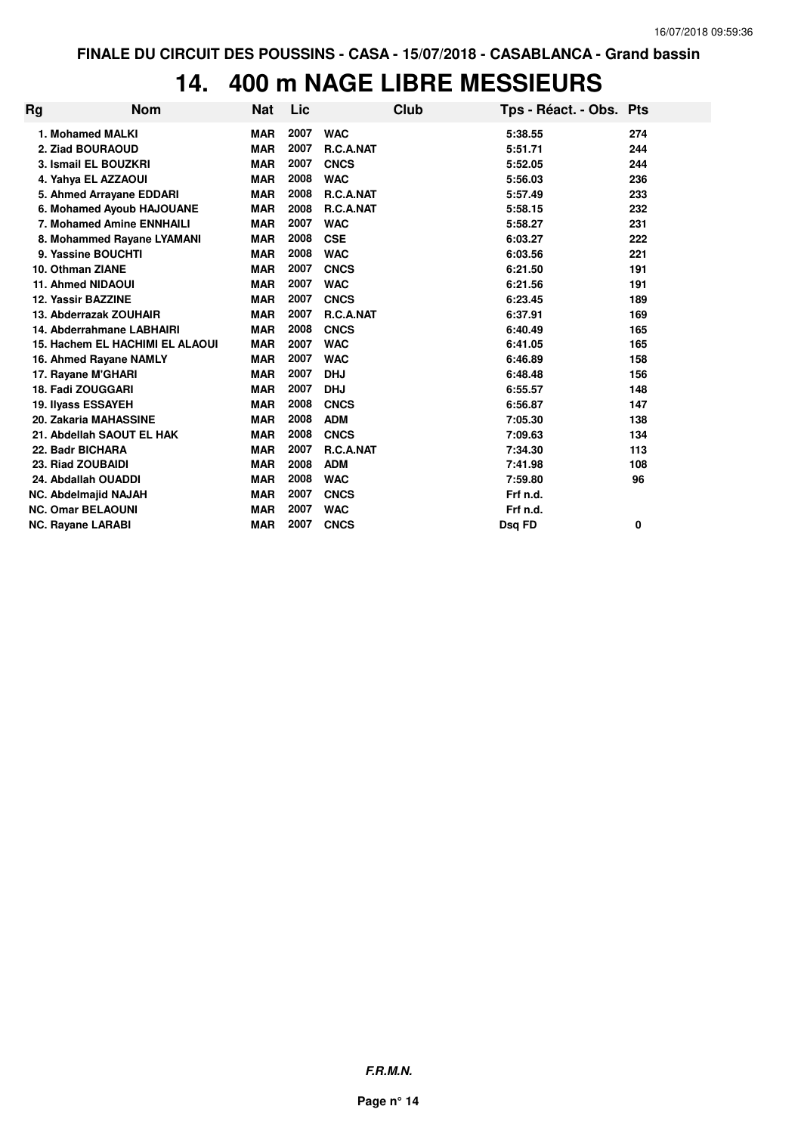# **14. 400 m NAGE LIBRE MESSIEURS**

| Rg | <b>Nom</b>                             | <b>Nat</b> | Lic  |                  | Club | Tps - Réact. - Obs. Pts |     |
|----|----------------------------------------|------------|------|------------------|------|-------------------------|-----|
|    | 1. Mohamed MALKI                       | <b>MAR</b> | 2007 | <b>WAC</b>       |      | 5:38.55                 | 274 |
|    | 2. Ziad BOURAOUD                       | <b>MAR</b> | 2007 | R.C.A.NAT        |      | 5:51.71                 | 244 |
|    | 3. Ismail EL BOUZKRI                   | <b>MAR</b> | 2007 | <b>CNCS</b>      |      | 5:52.05                 | 244 |
|    | 4. Yahya EL AZZAOUI                    | <b>MAR</b> | 2008 | <b>WAC</b>       |      | 5:56.03                 | 236 |
|    | 5. Ahmed Arrayane EDDARI               | <b>MAR</b> | 2008 | R.C.A.NAT        |      | 5:57.49                 | 233 |
|    | 6. Mohamed Ayoub HAJOUANE              | <b>MAR</b> | 2008 | R.C.A.NAT        |      | 5:58.15                 | 232 |
|    | 7. Mohamed Amine ENNHAILI              | <b>MAR</b> | 2007 | <b>WAC</b>       |      | 5:58.27                 | 231 |
|    | 8. Mohammed Rayane LYAMANI             | <b>MAR</b> | 2008 | <b>CSE</b>       |      | 6:03.27                 | 222 |
|    | 9. Yassine BOUCHTI                     | <b>MAR</b> | 2008 | <b>WAC</b>       |      | 6:03.56                 | 221 |
|    | 10. Othman ZIANE                       | <b>MAR</b> | 2007 | <b>CNCS</b>      |      | 6:21.50                 | 191 |
|    | <b>11. Ahmed NIDAOUI</b>               | <b>MAR</b> | 2007 | <b>WAC</b>       |      | 6:21.56                 | 191 |
|    | 12. Yassir BAZZINE                     | <b>MAR</b> | 2007 | <b>CNCS</b>      |      | 6:23.45                 | 189 |
|    | 13. Abderrazak ZOUHAIR                 | <b>MAR</b> | 2007 | <b>R.C.A.NAT</b> |      | 6:37.91                 | 169 |
|    | 14. Abderrahmane LABHAIRI              | <b>MAR</b> | 2008 | <b>CNCS</b>      |      | 6:40.49                 | 165 |
|    | <b>15. Hachem EL HACHIMI EL ALAOUI</b> | <b>MAR</b> | 2007 | <b>WAC</b>       |      | 6:41.05                 | 165 |
|    | 16. Ahmed Rayane NAMLY                 | <b>MAR</b> | 2007 | <b>WAC</b>       |      | 6:46.89                 | 158 |
|    | 17. Rayane M'GHARI                     | <b>MAR</b> | 2007 | <b>DHJ</b>       |      | 6:48.48                 | 156 |
|    | 18. Fadi ZOUGGARI                      | <b>MAR</b> | 2007 | <b>DHJ</b>       |      | 6:55.57                 | 148 |
|    | <b>19. Ilyass ESSAYEH</b>              | <b>MAR</b> | 2008 | <b>CNCS</b>      |      | 6:56.87                 | 147 |
|    | 20. Zakaria MAHASSINE                  | <b>MAR</b> | 2008 | <b>ADM</b>       |      | 7:05.30                 | 138 |
|    | 21. Abdellah SAOUT EL HAK              | <b>MAR</b> | 2008 | <b>CNCS</b>      |      | 7:09.63                 | 134 |
|    | 22. Badr BICHARA                       | <b>MAR</b> | 2007 | <b>R.C.A.NAT</b> |      | 7:34.30                 | 113 |
|    | 23. Riad ZOUBAIDI                      | <b>MAR</b> | 2008 | <b>ADM</b>       |      | 7:41.98                 | 108 |
|    | 24. Abdallah OUADDI                    | <b>MAR</b> | 2008 | <b>WAC</b>       |      | 7:59.80                 | 96  |
|    | <b>NC. Abdelmajid NAJAH</b>            | <b>MAR</b> | 2007 | <b>CNCS</b>      |      | Frf n.d.                |     |
|    | <b>NC. Omar BELAOUNI</b>               | <b>MAR</b> | 2007 | <b>WAC</b>       |      | Frf n.d.                |     |
|    | <b>NC. Rayane LARABI</b>               | <b>MAR</b> | 2007 | <b>CNCS</b>      |      | Dsg FD                  | 0   |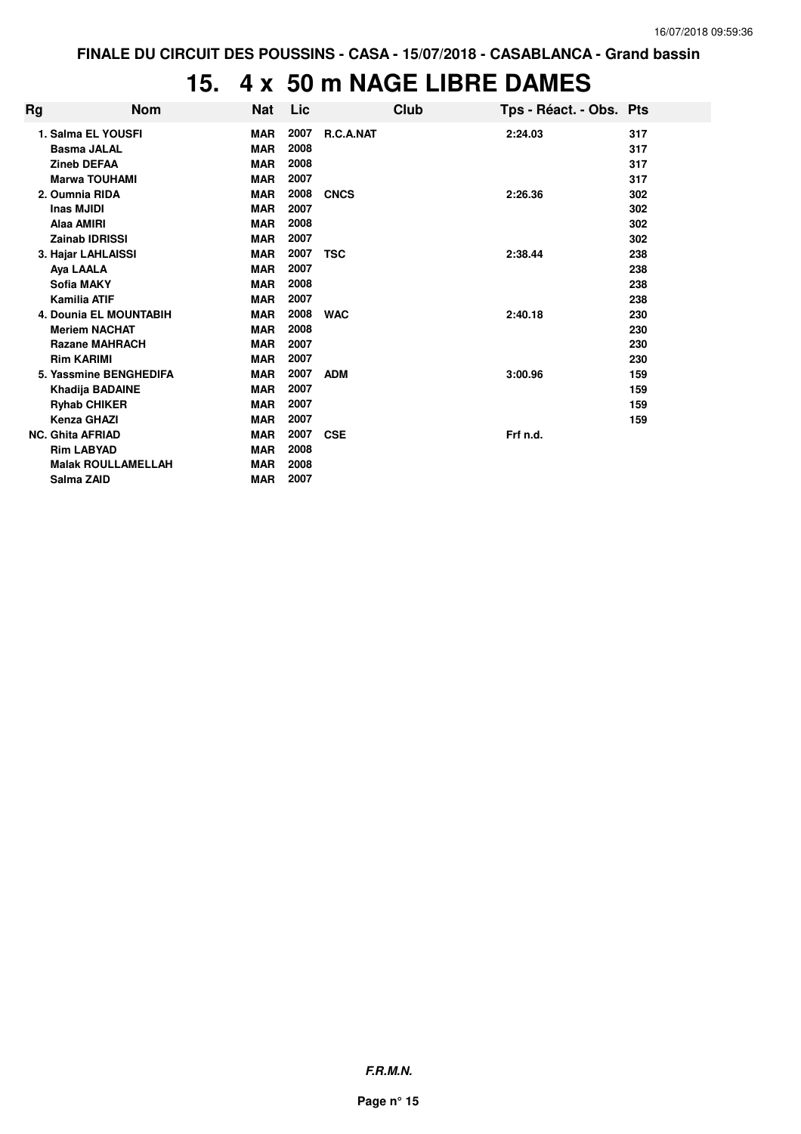## **15. 4 x 50 m NAGE LIBRE DAMES**

| Rg | <b>Nom</b>                    | Nat        | Lic  |             | Club | Tps - Réact. - Obs. Pts |     |
|----|-------------------------------|------------|------|-------------|------|-------------------------|-----|
|    | 1. Salma EL YOUSFI            | <b>MAR</b> | 2007 | R.C.A.NAT   |      | 2:24.03                 | 317 |
|    | <b>Basma JALAL</b>            | <b>MAR</b> | 2008 |             |      |                         | 317 |
|    | <b>Zineb DEFAA</b>            | <b>MAR</b> | 2008 |             |      |                         | 317 |
|    | <b>Marwa TOUHAMI</b>          | <b>MAR</b> | 2007 |             |      |                         | 317 |
|    | 2. Oumnia RIDA                | <b>MAR</b> | 2008 | <b>CNCS</b> |      | 2:26.36                 | 302 |
|    | <b>Inas MJIDI</b>             | <b>MAR</b> | 2007 |             |      |                         | 302 |
|    | <b>Alaa AMIRI</b>             | <b>MAR</b> | 2008 |             |      |                         | 302 |
|    | <b>Zainab IDRISSI</b>         | <b>MAR</b> | 2007 |             |      |                         | 302 |
|    | 3. Hajar LAHLAISSI            | <b>MAR</b> | 2007 | <b>TSC</b>  |      | 2:38.44                 | 238 |
|    | Aya LAALA                     | <b>MAR</b> | 2007 |             |      |                         | 238 |
|    | <b>Sofia MAKY</b>             | <b>MAR</b> | 2008 |             |      |                         | 238 |
|    | <b>Kamilia ATIF</b>           | <b>MAR</b> | 2007 |             |      |                         | 238 |
|    | <b>4. Dounia EL MOUNTABIH</b> | <b>MAR</b> | 2008 | <b>WAC</b>  |      | 2:40.18                 | 230 |
|    | <b>Meriem NACHAT</b>          | <b>MAR</b> | 2008 |             |      |                         | 230 |
|    | <b>Razane MAHRACH</b>         | <b>MAR</b> | 2007 |             |      |                         | 230 |
|    | <b>Rim KARIMI</b>             | <b>MAR</b> | 2007 |             |      |                         | 230 |
|    | 5. Yassmine BENGHEDIFA        | <b>MAR</b> | 2007 | <b>ADM</b>  |      | 3:00.96                 | 159 |
|    | Khadija BADAINE               | <b>MAR</b> | 2007 |             |      |                         | 159 |
|    | <b>Ryhab CHIKER</b>           | <b>MAR</b> | 2007 |             |      |                         | 159 |
|    | <b>Kenza GHAZI</b>            | <b>MAR</b> | 2007 |             |      |                         | 159 |
|    | <b>NC. Ghita AFRIAD</b>       | <b>MAR</b> | 2007 | <b>CSE</b>  |      | Frf n.d.                |     |
|    | <b>Rim LABYAD</b>             | <b>MAR</b> | 2008 |             |      |                         |     |
|    | <b>Malak ROULLAMELLAH</b>     | <b>MAR</b> | 2008 |             |      |                         |     |
|    | Salma ZAID                    | <b>MAR</b> | 2007 |             |      |                         |     |